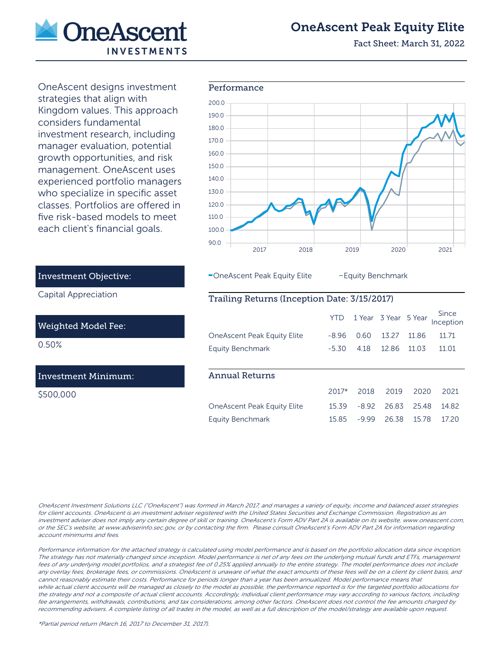

# OneAscent Peak Equity Elite

Fact Sheet: March 31, 2022

OneAscent designs investment strategies that align with Kingdom values. This approach considers fundamental investment research, including manager evaluation, potential growth opportunities, and risk management. OneAscent uses experienced portfolio managers who specialize in specific asset classes. Portfolios are offered in five risk-based models to meet each client's financial goals.



-OneAscent Peak Equity Elite - Equity Benchmark

## Trailing Returns (Inception Date: 3/15/2017)

|                                    | <b>YTD</b> |         | 1 Year 3 Year 5 Year |        | Since<br>Inception |
|------------------------------------|------------|---------|----------------------|--------|--------------------|
| <b>OneAscent Peak Equity Elite</b> | -8.96      | 0.60    | 1327                 | 11 86  | 11.71              |
| <b>Equity Benchmark</b>            | $-5.30$    | 4.18    | 12.86                | 11 0 3 | 11.01              |
|                                    |            |         |                      |        |                    |
| Annual Returns                     |            |         |                      |        |                    |
|                                    |            |         |                      |        |                    |
|                                    | $2017*$    | 2018    | 2019                 | 2020   | 2021               |
| <b>OneAscent Peak Equity Elite</b> | 15.39      | $-8.92$ | 26.83                | 25.48  | 14.82              |

## Investment Objective:

Capital Appreciation

#### Weighted Model Fee:

0.50%

### Investment Minimum:

\$500,000

OneAscent Investment Solutions LLC ("OneAscent") was formed in March 2017, and manages a variety of equity, income and balanced asset strategies for client accounts. OneAscent is an investment adviser registered with the United States Securities and Exchange Commission. Registration as an investment adviser does not imply any certain degree of skill or training. OneAscent's Form ADV Part 2A is available on its website, www.oneascent.com, or the SEC's website, at www.adviserinfo.sec.gov, or by contacting the firm. Please consult OneAscent's Form ADV Part 2A for information regarding account minimums and fees.

Performance information for the attached strategy is calculated using model performance and is based on the portfolio allocation data since inception. The strategy has not materially changed since inception. Model performance is net of any fees on the underlying mutual funds and ETFs, management fees of any underlying model portfolios, and a strategist fee of 0.25% applied annually to the entire strategy. The model performance does not include any overlay fees, brokerage fees, or commissions. OneAscent is unaware of what the exact amounts of these fees will be on a client by client basis, and cannot reasonably estimate their costs. Performance for periods longer than a year has been annualized. Model performance means that while actual client accounts will be managed as closely to the model as possible, the performance reported is for the targeted portfolio allocations for the strategy and not a composite of actual client accounts. Accordingly, individual client performance may vary according to various factors, including fee arrangements, withdrawals, contributions, and tax considerations, among other factors. OneAscent does not control the fee amounts charged by recommending advisers. A complete listing of all trades in the model, as well as a full description of the model/strategy are available upon request.